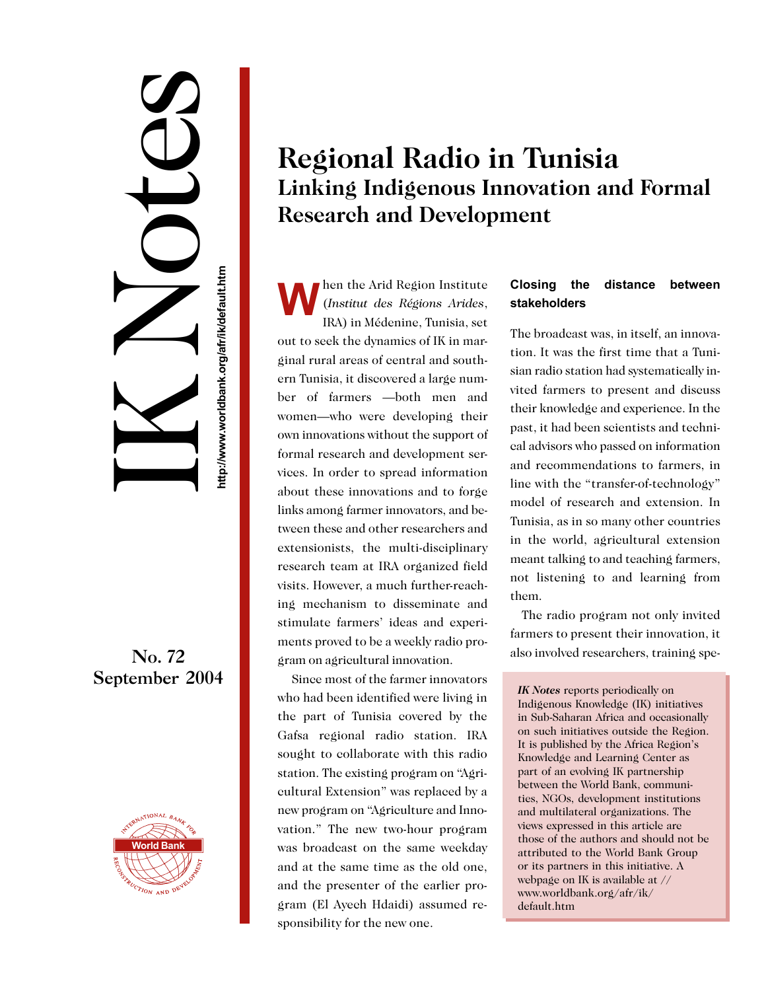# IK Notes No. 72<br>September 2004<br>Http://www.worldbank.org/afrikadesia.htm<br>http://www.worldbank.org/afrikadesia.html<br>http://www.worldbank.org/afrikadesia.html<br>http://www.worldbank.org/afrikadesia.html

# No. 72



## **Regional Radio in Tunisia Linking Indigenous Innovation and Formal Research and Development**

**W** hen the Arid Region Institute<br>(*Institut des Régions Arides*,<br>IRA) in Médenine Tunisia set (*Institut des Régions Arides*, IRA) in Médenine, Tunisia, set out to seek the dynamics of IK in marginal rural areas of central and southern Tunisia, it discovered a large number of farmers —both men and women—who were developing their own innovations without the support of formal research and development services. In order to spread information about these innovations and to forge links among farmer innovators, and between these and other researchers and extensionists, the multi-disciplinary research team at IRA organized field visits. However, a much further-reaching mechanism to disseminate and stimulate farmers' ideas and experiments proved to be a weekly radio program on agricultural innovation.

 Since most of the farmer innovators who had been identified were living in the part of Tunisia covered by the Gafsa regional radio station. IRA sought to collaborate with this radio station. The existing program on "Agricultural Extension" was replaced by a new program on "Agriculture and Innovation." The new two-hour program was broadcast on the same weekday and at the same time as the old one, and the presenter of the earlier program (El Ayech Hdaidi) assumed responsibility for the new one.

### **Closing the distance between stakeholders**

The broadcast was, in itself, an innovation. It was the first time that a Tunisian radio station had systematically invited farmers to present and discuss their knowledge and experience. In the past, it had been scientists and technical advisors who passed on information and recommendations to farmers, in line with the "transfer-of-technology" model of research and extension. In Tunisia, as in so many other countries in the world, agricultural extension meant talking to and teaching farmers, not listening to and learning from them.

The radio program not only invited farmers to present their innovation, it also involved researchers, training spe-

*IK Notes* reports periodically on Indigenous Knowledge (IK) initiatives in Sub-Saharan Africa and occasionally on such initiatives outside the Region. It is published by the Africa Region's Knowledge and Learning Center as part of an evolving IK partnership between the World Bank, communities, NGOs, development institutions and multilateral organizations. The views expressed in this article are those of the authors and should not be attributed to the World Bank Group or its partners in this initiative. A webpage on IK is available at // www.worldbank.org/afr/ik/ default.htm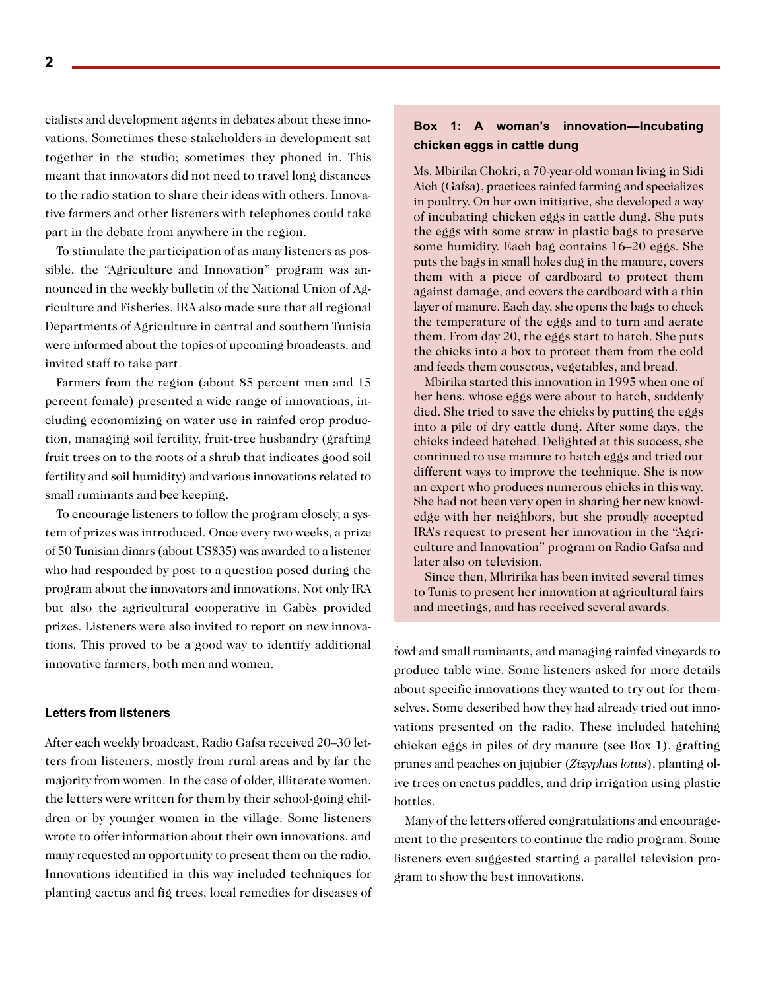cialists and development agents in debates about these innovations. Sometimes these stakeholders in development sat together in the studio; sometimes they phoned in. This meant that innovators did not need to travel long distances to the radio station to share their ideas with others. Innovative farmers and other listeners with telephones could take part in the debate from anywhere in the region.

To stimulate the participation of as many listeners as possible, the "Agriculture and Innovation" program was announced in the weekly bulletin of the National Union of Agriculture and Fisheries. IRA also made sure that all regional Departments of Agriculture in central and southern Tunisia were informed about the topics of upcoming broadcasts, and invited staff to take part.

Farmers from the region (about 85 percent men and 15 percent female) presented a wide range of innovations, including economizing on water use in rainfed crop production, managing soil fertility, fruit-tree husbandry (grafting fruit trees on to the roots of a shrub that indicates good soil fertility and soil humidity) and various innovations related to small ruminants and bee keeping.

To encourage listeners to follow the program closely, a system of prizes was introduced. Once every two weeks, a prize of 50 Tunisian dinars (about US\$35) was awarded to a listener who had responded by post to a question posed during the program about the innovators and innovations. Not only IRA but also the agricultural cooperative in Gabès provided prizes. Listeners were also invited to report on new innovations. This proved to be a good way to identify additional innovative farmers, both men and women.

### **Letters from listeners**

After each weekly broadcast, Radio Gafsa received 20–30 letters from listeners, mostly from rural areas and by far the majority from women. In the case of older, illiterate women, the letters were written for them by their school-going children or by younger women in the village. Some listeners wrote to offer information about their own innovations, and many requested an opportunity to present them on the radio. Innovations identified in this way included techniques for planting cactus and fig trees, local remedies for diseases of

### **Box 1: A woman's innovation—Incubating chicken eggs in cattle dung**

Ms. Mbirika Chokri, a 70-year-old woman living in Sidi Aich (Gafsa), practices rainfed farming and specializes in poultry. On her own initiative, she developed a way of incubating chicken eggs in cattle dung. She puts the eggs with some straw in plastic bags to preserve some humidity. Each bag contains 16–20 eggs. She puts the bags in small holes dug in the manure, covers them with a piece of cardboard to protect them against damage, and covers the cardboard with a thin layer of manure. Each day, she opens the bags to check the temperature of the eggs and to turn and aerate them. From day 20, the eggs start to hatch. She puts the chicks into a box to protect them from the cold and feeds them couscous, vegetables, and bread.

Mbirika started this innovation in 1995 when one of her hens, whose eggs were about to hatch, suddenly died. She tried to save the chicks by putting the eggs into a pile of dry cattle dung. After some days, the chicks indeed hatched. Delighted at this success, she continued to use manure to hatch eggs and tried out different ways to improve the technique. She is now an expert who produces numerous chicks in this way. She had not been very open in sharing her new knowledge with her neighbors, but she proudly accepted IRA's request to present her innovation in the "Agriculture and Innovation" program on Radio Gafsa and later also on television.

Since then, Mbririka has been invited several times to Tunis to present her innovation at agricultural fairs and meetings, and has received several awards.

fowl and small ruminants, and managing rainfed vineyards to produce table wine. Some listeners asked for more details about specific innovations they wanted to try out for themselves. Some described how they had already tried out innovations presented on the radio. These included hatching chicken eggs in piles of dry manure (see Box 1), grafting prunes and peaches on jujubier (*Zizyphus lotus*), planting olive trees on cactus paddles, and drip irrigation using plastic bottles.

Many of the letters offered congratulations and encouragement to the presenters to continue the radio program. Some listeners even suggested starting a parallel television program to show the best innovations.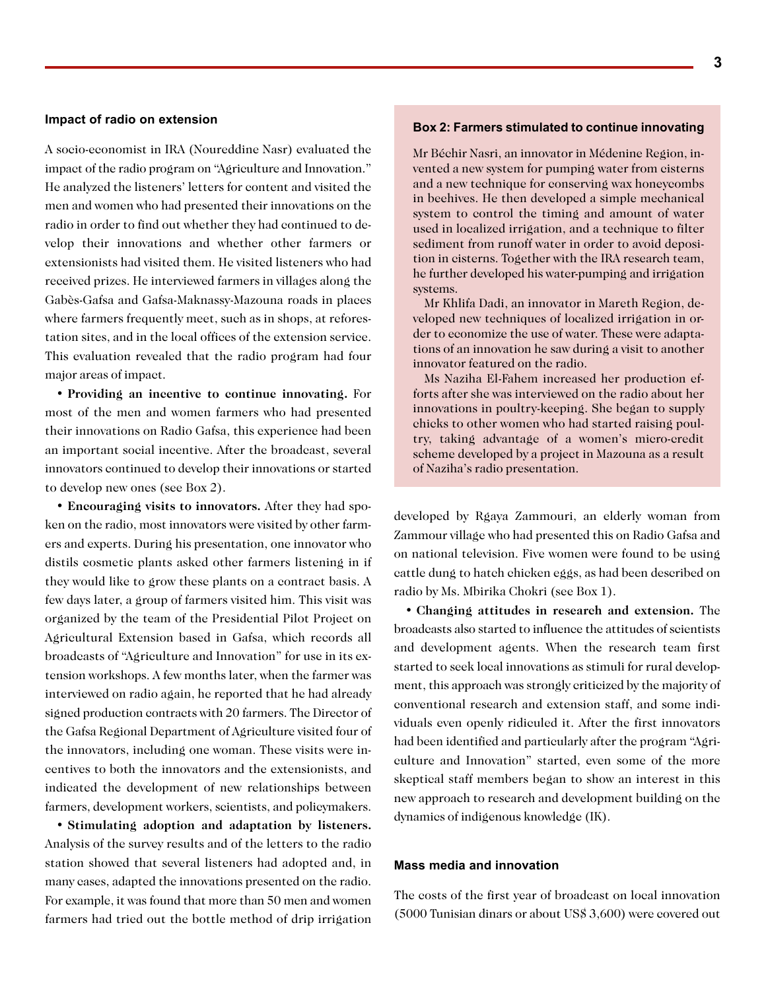### **Impact of radio on extension**

A socio-economist in IRA (Noureddine Nasr) evaluated the impact of the radio program on "Agriculture and Innovation." He analyzed the listeners' letters for content and visited the men and women who had presented their innovations on the radio in order to find out whether they had continued to develop their innovations and whether other farmers or extensionists had visited them. He visited listeners who had received prizes. He interviewed farmers in villages along the Gabès-Gafsa and Gafsa-Maknassy-Mazouna roads in places where farmers frequently meet, such as in shops, at reforestation sites, and in the local offices of the extension service. This evaluation revealed that the radio program had four major areas of impact.

• **Providing an incentive to continue innovating.** For most of the men and women farmers who had presented their innovations on Radio Gafsa, this experience had been an important social incentive. After the broadcast, several innovators continued to develop their innovations or started to develop new ones (see Box 2).

• **Encouraging visits to innovators.** After they had spoken on the radio, most innovators were visited by other farmers and experts. During his presentation, one innovator who distils cosmetic plants asked other farmers listening in if they would like to grow these plants on a contract basis. A few days later, a group of farmers visited him. This visit was organized by the team of the Presidential Pilot Project on Agricultural Extension based in Gafsa, which records all broadcasts of "Agriculture and Innovation" for use in its extension workshops. A few months later, when the farmer was interviewed on radio again, he reported that he had already signed production contracts with 20 farmers. The Director of the Gafsa Regional Department of Agriculture visited four of the innovators, including one woman. These visits were incentives to both the innovators and the extensionists, and indicated the development of new relationships between farmers, development workers, scientists, and policymakers.

• **Stimulating adoption and adaptation by listeners.** Analysis of the survey results and of the letters to the radio station showed that several listeners had adopted and, in many cases, adapted the innovations presented on the radio. For example, it was found that more than 50 men and women farmers had tried out the bottle method of drip irrigation

### **Box 2: Farmers stimulated to continue innovating**

Mr Béchir Nasri, an innovator in Médenine Region, invented a new system for pumping water from cisterns and a new technique for conserving wax honeycombs in beehives. He then developed a simple mechanical system to control the timing and amount of water used in localized irrigation, and a technique to filter sediment from runoff water in order to avoid deposition in cisterns. Together with the IRA research team, he further developed his water-pumping and irrigation systems.

Mr Khlifa Dadi, an innovator in Mareth Region, developed new techniques of localized irrigation in order to economize the use of water. These were adaptations of an innovation he saw during a visit to another innovator featured on the radio.

Ms Naziha El-Fahem increased her production efforts after she was interviewed on the radio about her innovations in poultry-keeping. She began to supply chicks to other women who had started raising poultry, taking advantage of a women's micro-credit scheme developed by a project in Mazouna as a result of Naziha's radio presentation.

developed by Rgaya Zammouri, an elderly woman from Zammour village who had presented this on Radio Gafsa and on national television. Five women were found to be using cattle dung to hatch chicken eggs, as had been described on radio by Ms. Mbirika Chokri (see Box 1).

• **Changing attitudes in research and extension.** The broadcasts also started to influence the attitudes of scientists and development agents. When the research team first started to seek local innovations as stimuli for rural development, this approach was strongly criticized by the majority of conventional research and extension staff, and some individuals even openly ridiculed it. After the first innovators had been identified and particularly after the program "Agriculture and Innovation" started, even some of the more skeptical staff members began to show an interest in this new approach to research and development building on the dynamics of indigenous knowledge (IK).

### **Mass media and innovation**

The costs of the first year of broadcast on local innovation (5000 Tunisian dinars or about US\$ 3,600) were covered out